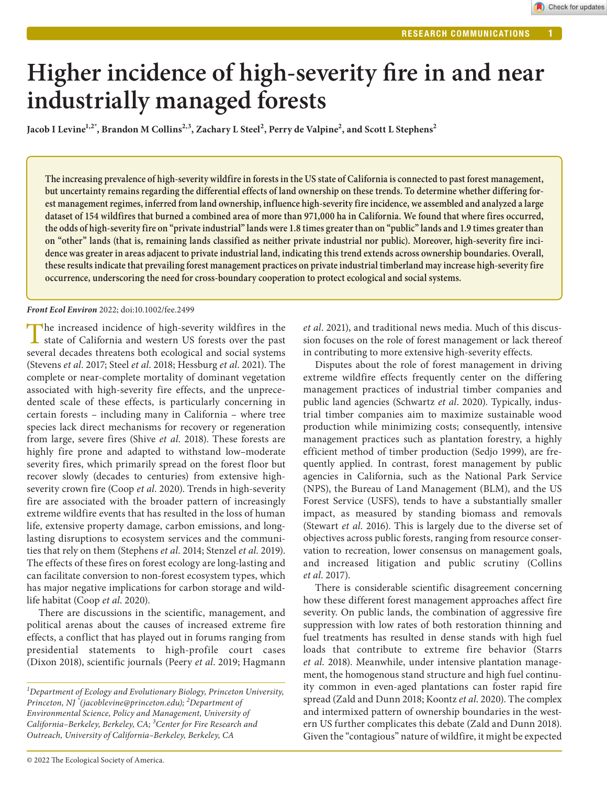# **Higher incidence of high-severity fire in and near industrially managed forests**

Jacob I Levine<sup>1,2\*</sup>, Brandon M Collins<sup>2,3</sup>, Zachary L Steel<sup>2</sup>, Perry de Valpine<sup>2</sup>, and Scott L Stephens<sup>2</sup>

**The increasing prevalence of high-severity wildfire in forests in the US state of California is connected to past forest management, but uncertainty remains regarding the differential effects of land ownership on these trends. To determine whether differing forest management regimes, inferred from land ownership, influence high-severity fire incidence, we assembled and analyzed a large dataset of 154 wildfires that burned a combined area of more than 971,000 ha in California. We found that where fires occurred, the odds of high-severity fire on "private industrial" lands were 1.8 times greater than on "public" lands and 1.9 times greater than on "other" lands (that is, remaining lands classified as neither private industrial nor public). Moreover, high-severity fire incidence was greater in areas adjacent to private industrial land, indicating this trend extends across ownership boundaries. Overall, these results indicate that prevailing forest management practices on private industrial timberland may increase high-severity fire occurrence, underscoring the need for cross-boundary cooperation to protect ecological and social systems.**

# *Front Ecol Environ* 2022; doi:10.1002/fee.2499

The increased incidence of high-severity wildfires in the state of California and western US forests over the past several decades threatens both ecological and social systems (Stevens *et al*. 2017; Steel *et al*. 2018; Hessburg *et al*. 2021). The complete or near-complete mortality of dominant vegetation associated with high-severity fire effects, and the unprecedented scale of these effects, is particularly concerning in certain forests – including many in California – where tree species lack direct mechanisms for recovery or regeneration from large, severe fires (Shive *et al*. 2018). These forests are highly fire prone and adapted to withstand low–moderate severity fires, which primarily spread on the forest floor but recover slowly (decades to centuries) from extensive highseverity crown fire (Coop *et al*. 2020). Trends in high-severity fire are associated with the broader pattern of increasingly extreme wildfire events that has resulted in the loss of human life, extensive property damage, carbon emissions, and longlasting disruptions to ecosystem services and the communities that rely on them (Stephens *et al*. 2014; Stenzel *et al*. 2019). The effects of these fires on forest ecology are long-lasting and can facilitate conversion to non-forest ecosystem types, which has major negative implications for carbon storage and wildlife habitat (Coop *et al*. 2020).

There are discussions in the scientific, management, and political arenas about the causes of increased extreme fire effects, a conflict that has played out in forums ranging from presidential statements to high-profile court cases (Dixon 2018), scientific journals (Peery *et al*. 2019; Hagmann

*et al*. 2021), and traditional news media. Much of this discussion focuses on the role of forest management or lack thereof in contributing to more extensive high-severity effects.

Disputes about the role of forest management in driving extreme wildfire effects frequently center on the differing management practices of industrial timber companies and public land agencies (Schwartz *et al*. 2020). Typically, industrial timber companies aim to maximize sustainable wood production while minimizing costs; consequently, intensive management practices such as plantation forestry, a highly efficient method of timber production (Sedjo 1999), are frequently applied. In contrast, forest management by public agencies in California, such as the National Park Service (NPS), the Bureau of Land Management (BLM), and the US Forest Service (USFS), tends to have a substantially smaller impact, as measured by standing biomass and removals (Stewart *et al*. 2016). This is largely due to the diverse set of objectives across public forests, ranging from resource conservation to recreation, lower consensus on management goals, and increased litigation and public scrutiny (Collins *et al*. 2017).

There is considerable scientific disagreement concerning how these different forest management approaches affect fire severity. On public lands, the combination of aggressive fire suppression with low rates of both restoration thinning and fuel treatments has resulted in dense stands with high fuel loads that contribute to extreme fire behavior (Starrs *et al*. 2018). Meanwhile, under intensive plantation management, the homogenous stand structure and high fuel continuity common in even-aged plantations can foster rapid fire spread (Zald and Dunn 2018; Koontz *et al*. 2020). The complex and intermixed pattern of ownership boundaries in the western US further complicates this debate (Zald and Dunn 2018). Given the "contagious" nature of wildfire, it might be expected

*<sup>1</sup> Department of Ecology and Evolutionary Biology, Princeton University, Princeton, NJ \* (jacoblevine@princeton.edu); <sup>2</sup> Department of Environmental Science, Policy and Management, University of California–Berkeley, Berkeley, CA; 3 Center for Fire Research and Outreach, University of California–Berkeley, Berkeley, CA*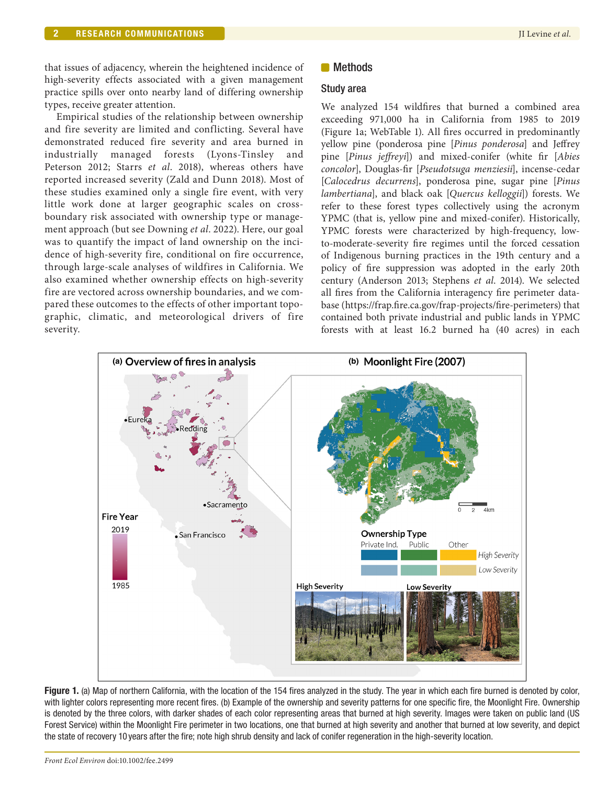that issues of adjacency, wherein the heightened incidence of high-severity effects associated with a given management practice spills over onto nearby land of differing ownership types, receive greater attention.

Empirical studies of the relationship between ownership and fire severity are limited and conflicting. Several have demonstrated reduced fire severity and area burned in industrially managed forests (Lyons-Tinsley and Peterson 2012; Starrs *et al*. 2018), whereas others have reported increased severity (Zald and Dunn 2018). Most of these studies examined only a single fire event, with very little work done at larger geographic scales on crossboundary risk associated with ownership type or management approach (but see Downing *et al*. 2022). Here, our goal was to quantify the impact of land ownership on the incidence of high-severity fire, conditional on fire occurrence, through large-scale analyses of wildfires in California. We also examined whether ownership effects on high-severity fire are vectored across ownership boundaries, and we compared these outcomes to the effects of other important topographic, climatic, and meteorological drivers of fire severity.

# **Methods**

# Study area

We analyzed 154 wildfires that burned a combined area exceeding 971,000 ha in California from 1985 to 2019 (Figure 1a; WebTable 1). All fires occurred in predominantly yellow pine (ponderosa pine [*Pinus ponderosa*] and Jeffrey pine [*Pinus jeffreyi*]) and mixed-conifer (white fir [*Abies concolor*], Douglas-fir [*Pseudotsuga menziesii*], incense-cedar [*Calocedrus decurrens*], ponderosa pine, sugar pine [*Pinus lambertiana*], and black oak [*Quercus kelloggii*]) forests. We refer to these forest types collectively using the acronym YPMC (that is, yellow pine and mixed-conifer). Historically, YPMC forests were characterized by high-frequency, lowto-moderate-severity fire regimes until the forced cessation of Indigenous burning practices in the 19th century and a policy of fire suppression was adopted in the early 20th century (Anderson 2013; Stephens *et al*. 2014). We selected all fires from the California interagency fire perimeter database [\(https://frap.fire.ca.gov/frap-projects/fire-perimeters](https://frap.fire.ca.gov/frap-projects/fire-perimeters)) that contained both private industrial and public lands in YPMC forests with at least 16.2 burned ha (40 acres) in each



Figure 1. (a) Map of northern California, with the location of the 154 fires analyzed in the study. The year in which each fire burned is denoted by color, with lighter colors representing more recent fires. (b) Example of the ownership and severity patterns for one specific fire, the Moonlight Fire. Ownership is denoted by the three colors, with darker shades of each color representing areas that burned at high severity. Images were taken on public land (US Forest Service) within the Moonlight Fire perimeter in two locations, one that burned at high severity and another that burned at low severity, and depict the state of recovery 10 years after the fire; note high shrub density and lack of conifer regeneration in the high-severity location.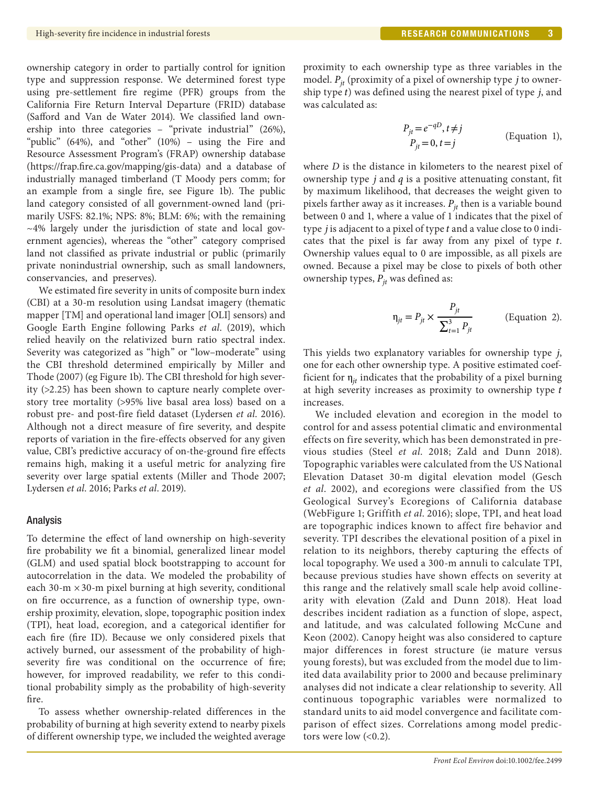ownership category in order to partially control for ignition type and suppression response. We determined forest type using pre-settlement fire regime (PFR) groups from the California Fire Return Interval Departure (FRID) database (Safford and Van de Water 2014). We classified land ownership into three categories – "private industrial" (26%), "public" (64%), and "other" (10%) – using the Fire and Resource Assessment Program's (FRAP) ownership database (<https://frap.fire.ca.gov/mapping/gis-data>) and a database of industrially managed timberland (T Moody pers comm; for an example from a single fire, see Figure 1b). The public land category consisted of all government-owned land (primarily USFS: 82.1%; NPS: 8%; BLM: 6%; with the remaining ~4% largely under the jurisdiction of state and local government agencies), whereas the "other" category comprised land not classified as private industrial or public (primarily private nonindustrial ownership, such as small landowners, conservancies, and preserves).

We estimated fire severity in units of composite burn index (CBI) at a 30-m resolution using Landsat imagery (thematic mapper [TM] and operational land imager [OLI] sensors) and Google Earth Engine following Parks *et al*. (2019), which relied heavily on the relativized burn ratio spectral index. Severity was categorized as "high" or "low–moderate" using the CBI threshold determined empirically by Miller and Thode (2007) (eg Figure 1b). The CBI threshold for high severity (>2.25) has been shown to capture nearly complete overstory tree mortality (>95% live basal area loss) based on a robust pre- and post-fire field dataset (Lydersen *et al*. 2016). Although not a direct measure of fire severity, and despite reports of variation in the fire-effects observed for any given value, CBI's predictive accuracy of on-the-ground fire effects remains high, making it a useful metric for analyzing fire severity over large spatial extents (Miller and Thode 2007; Lydersen *et al*. 2016; Parks *et al*. 2019).

#### Analysis

To determine the effect of land ownership on high-severity fire probability we fit a binomial, generalized linear model (GLM) and used spatial block bootstrapping to account for autocorrelation in the data. We modeled the probability of each 30-m  $\times$  30-m pixel burning at high severity, conditional on fire occurrence, as a function of ownership type, ownership proximity, elevation, slope, topographic position index (TPI), heat load, ecoregion, and a categorical identifier for each fire (fire ID). Because we only considered pixels that actively burned, our assessment of the probability of highseverity fire was conditional on the occurrence of fire; however, for improved readability, we refer to this conditional probability simply as the probability of high-severity fire.

To assess whether ownership-related differences in the probability of burning at high severity extend to nearby pixels of different ownership type, we included the weighted average

proximity to each ownership type as three variables in the model.  $P_{it}$  (proximity of a pixel of ownership type j to ownership type  $t$ ) was defined using the nearest pixel of type  $j$ , and was calculated as:

$$
P_{jt} = e^{-qD}, t \neq j
$$
  
\n
$$
P_{jt} = 0, t = j
$$
 (Equation 1),

where *D* is the distance in kilometers to the nearest pixel of ownership type  $j$  and  $q$  is a positive attenuating constant, fit by maximum likelihood, that decreases the weight given to pixels farther away as it increases.  $P_{it}$  then is a variable bound between 0 and 1, where a value of 1 indicates that the pixel of type  $j$  is adjacent to a pixel of type  $t$  and a value close to  $0$  indicates that the pixel is far away from any pixel of type  $t$ . Ownership values equal to 0 are impossible, as all pixels are owned. Because a pixel may be close to pixels of both other ownership types,  $P_{it}$  was defined as:

$$
\eta_{jt} = P_{jt} \times \frac{P_{jt}}{\sum_{t=1}^{3} P_{jt}}
$$
 (Equation 2).

This yields two explanatory variables for ownership type j, one for each other ownership type. A positive estimated coefficient for  $\eta_{it}$  indicates that the probability of a pixel burning at high severity increases as proximity to ownership type t increases.

We included elevation and ecoregion in the model to control for and assess potential climatic and environmental effects on fire severity, which has been demonstrated in previous studies (Steel *et al*. 2018; Zald and Dunn 2018). Topographic variables were calculated from the US National Elevation Dataset 30-m digital elevation model (Gesch *et al*. 2002), and ecoregions were classified from the US Geological Survey's Ecoregions of California database (WebFigure 1; Griffith *et al*. 2016); slope, TPI, and heat load are topographic indices known to affect fire behavior and severity. TPI describes the elevational position of a pixel in relation to its neighbors, thereby capturing the effects of local topography. We used a 300-m annuli to calculate TPI, because previous studies have shown effects on severity at this range and the relatively small scale help avoid collinearity with elevation (Zald and Dunn 2018). Heat load describes incident radiation as a function of slope, aspect, and latitude, and was calculated following McCune and Keon (2002). Canopy height was also considered to capture major differences in forest structure (ie mature versus young forests), but was excluded from the model due to limited data availability prior to 2000 and because preliminary analyses did not indicate a clear relationship to severity. All continuous topographic variables were normalized to standard units to aid model convergence and facilitate comparison of effect sizes. Correlations among model predictors were low  $( $0.2$ ).$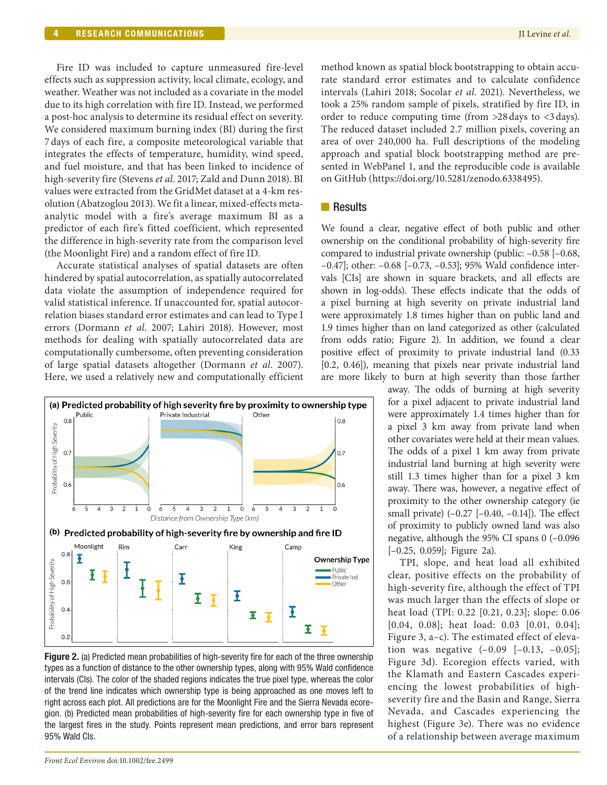Fire ID was included to capture unmeasured fire-level effects such as suppression activity, local climate, ecology, and weather. Weather was not included as a covariate in the model due to its high correlation with fire ID. Instead, we performed a post-hoc analysis to determine its residual effect on severity. We considered maximum burning index (BI) during the first 7days of each fire, a composite meteorological variable that integrates the effects of temperature, humidity, wind speed, and fuel moisture, and that has been linked to incidence of high-severity fire (Stevens *et al*. 2017; Zald and Dunn 2018). BI values were extracted from the GridMet dataset at a 4-km resolution (Abatzoglou 2013). We fit a linear, mixed-effects metaanalytic model with a fire's average maximum BI as a predictor of each fire's fitted coefficient, which represented the difference in high-severity rate from the comparison level (the Moonlight Fire) and a random effect of fire ID.

Accurate statistical analyses of spatial datasets are often hindered by spatial autocorrelation, as spatially autocorrelated data violate the assumption of independence required for valid statistical inference. If unaccounted for, spatial autocorrelation biases standard error estimates and can lead to Type I errors (Dormann *et al*. 2007; Lahiri 2018). However, most methods for dealing with spatially autocorrelated data are computationally cumbersome, often preventing consideration of large spatial datasets altogether (Dormann *et al*. 2007). Here, we used a relatively new and computationally efficient



**Figure 2.** (a) Predicted mean probabilities of high-severity fire for each of the three ownership types as a function of distance to the other ownership types, along with 95% Wald confidence intervals (CIs). The color of the shaded regions indicates the true pixel type, whereas the color of the trend line indicates which ownership type is being approached as one moves left to right across each plot. All predictions are for the Moonlight Fire and the Sierra Nevada ecoregion. (b) Predicted mean probabilities of high-severity fire for each ownership type in five of the largest fires in the study. Points represent mean predictions, and error bars represent 95% Wald CIs.

method known as spatial block bootstrapping to obtain accurate standard error estimates and to calculate confidence intervals (Lahiri 2018; Socolar *et al*. 2021). Nevertheless, we took a 25% random sample of pixels, stratified by fire ID, in order to reduce computing time (from >28days to <3days). The reduced dataset included 2.7 million pixels, covering an area of over 240,000 ha. Full descriptions of the modeling approach and spatial block bootstrapping method are presented in WebPanel 1, and the reproducible code is available on GitHub ([https://doi.org/10.5281/zenodo.6338495\)](https://doi.org/10.5281/zenodo.6338495).

# **Results**

We found a clear, negative effect of both public and other ownership on the conditional probability of high-severity fire compared to industrial private ownership (public: –0.58 [–0.68, –0.47]; other: –0.68 [–0.73, –0.53]; 95% Wald confidence intervals [CIs] are shown in square brackets, and all effects are shown in log-odds). These effects indicate that the odds of a pixel burning at high severity on private industrial land were approximately 1.8 times higher than on public land and 1.9 times higher than on land categorized as other (calculated from odds ratio; Figure 2). In addition, we found a clear positive effect of proximity to private industrial land (0.33 [0.2, 0.46]), meaning that pixels near private industrial land are more likely to burn at high severity than those farther

away. The odds of burning at high severity for a pixel adjacent to private industrial land were approximately 1.4 times higher than for a pixel 3 km away from private land when other covariates were held at their mean values. The odds of a pixel 1 km away from private industrial land burning at high severity were still 1.3 times higher than for a pixel 3 km away. There was, however, a negative effect of proximity to the other ownership category (ie small private)  $(-0.27 [-0.40, -0.14])$ . The effect of proximity to publicly owned land was also negative, although the 95% CI spans 0 (–0.096 [–0.25, 0.059]; Figure 2a).

TPI, slope, and heat load all exhibited clear, positive effects on the probability of high-severity fire, although the effect of TPI was much larger than the effects of slope or heat load (TPI: 0.22 [0.21, 0.23]; slope: 0.06 [0.04, 0.08]; heat load: 0.03 [0.01, 0.04]; Figure 3, a–c). The estimated effect of elevation was negative  $(-0.09 [-0.13, -0.05])$ ; Figure 3d). Ecoregion effects varied, with the Klamath and Eastern Cascades experiencing the lowest probabilities of highseverity fire and the Basin and Range, Sierra Nevada, and Cascades experiencing the highest (Figure 3e). There was no evidence of a relationship between average maximum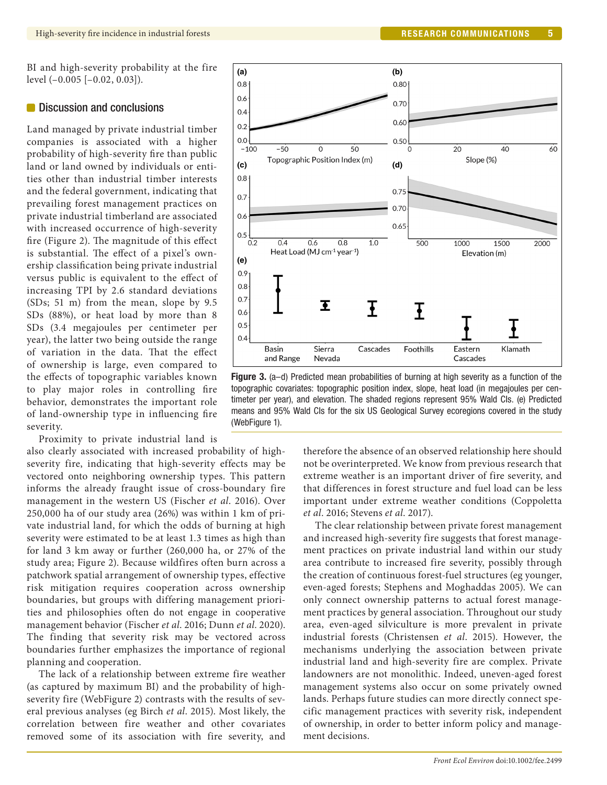BI and high-severity probability at the fire level (–0.005 [–0.02, 0.03]).

#### **Discussion and conclusions**

Land managed by private industrial timber companies is associated with a higher probability of high-severity fire than public land or land owned by individuals or entities other than industrial timber interests and the federal government, indicating that prevailing forest management practices on private industrial timberland are associated with increased occurrence of high-severity fire (Figure 2). The magnitude of this effect is substantial. The effect of a pixel's ownership classification being private industrial versus public is equivalent to the effect of increasing TPI by 2.6 standard deviations (SDs; 51 m) from the mean, slope by 9.5 SDs (88%), or heat load by more than 8 SDs (3.4 megajoules per centimeter per year), the latter two being outside the range of variation in the data. That the effect of ownership is large, even compared to the effects of topographic variables known to play major roles in controlling fire behavior, demonstrates the important role of land-ownership type in influencing fire severity.

Proximity to private industrial land is

also clearly associated with increased probability of highseverity fire, indicating that high-severity effects may be vectored onto neighboring ownership types. This pattern informs the already fraught issue of cross-boundary fire management in the western US (Fischer *et al*. 2016). Over 250,000 ha of our study area (26%) was within 1 km of private industrial land, for which the odds of burning at high severity were estimated to be at least 1.3 times as high than for land 3 km away or further (260,000 ha, or 27% of the study area; Figure 2). Because wildfires often burn across a patchwork spatial arrangement of ownership types, effective risk mitigation requires cooperation across ownership boundaries, but groups with differing management priorities and philosophies often do not engage in cooperative management behavior (Fischer *et al*. 2016; Dunn *et al*. 2020). The finding that severity risk may be vectored across boundaries further emphasizes the importance of regional planning and cooperation.

The lack of a relationship between extreme fire weather (as captured by maximum BI) and the probability of highseverity fire (WebFigure 2) contrasts with the results of several previous analyses (eg Birch *et al*. 2015). Most likely, the correlation between fire weather and other covariates removed some of its association with fire severity, and



Figure 3. (a-d) Predicted mean probabilities of burning at high severity as a function of the topographic covariates: topographic position index, slope, heat load (in megajoules per centimeter per year), and elevation. The shaded regions represent 95% Wald CIs. (e) Predicted means and 95% Wald CIs for the six US Geological Survey ecoregions covered in the study (WebFigure 1).

therefore the absence of an observed relationship here should not be overinterpreted. We know from previous research that extreme weather is an important driver of fire severity, and that differences in forest structure and fuel load can be less important under extreme weather conditions (Coppoletta *et al*. 2016; Stevens *et al*. 2017).

The clear relationship between private forest management and increased high-severity fire suggests that forest management practices on private industrial land within our study area contribute to increased fire severity, possibly through the creation of continuous forest-fuel structures (eg younger, even-aged forests; Stephens and Moghaddas 2005). We can only connect ownership patterns to actual forest management practices by general association. Throughout our study area, even-aged silviculture is more prevalent in private industrial forests (Christensen *et al*. 2015). However, the mechanisms underlying the association between private industrial land and high-severity fire are complex. Private landowners are not monolithic. Indeed, uneven-aged forest management systems also occur on some privately owned lands. Perhaps future studies can more directly connect specific management practices with severity risk, independent of ownership, in order to better inform policy and management decisions.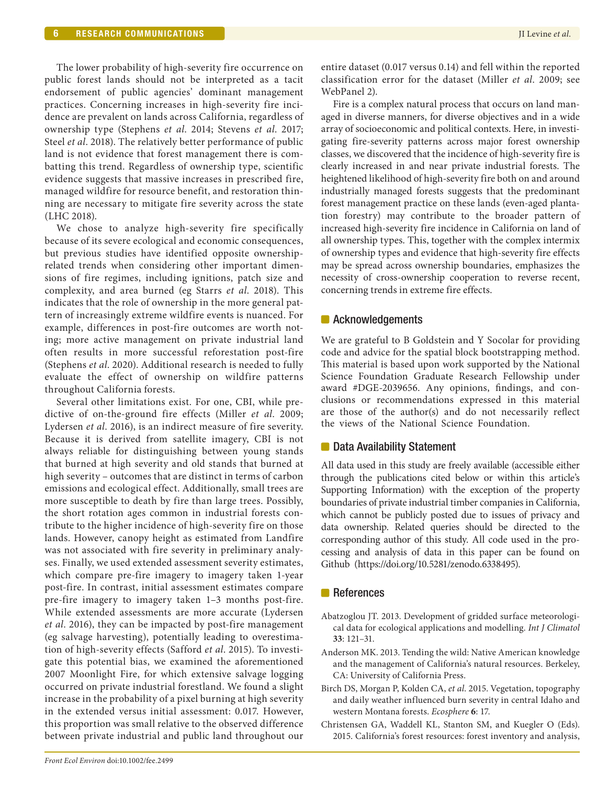The lower probability of high-severity fire occurrence on public forest lands should not be interpreted as a tacit endorsement of public agencies' dominant management practices. Concerning increases in high-severity fire incidence are prevalent on lands across California, regardless of ownership type (Stephens *et al*. 2014; Stevens *et al*. 2017; Steel *et al*. 2018). The relatively better performance of public land is not evidence that forest management there is combatting this trend. Regardless of ownership type, scientific evidence suggests that massive increases in prescribed fire, managed wildfire for resource benefit, and restoration thinning are necessary to mitigate fire severity across the state (LHC 2018).

We chose to analyze high-severity fire specifically because of its severe ecological and economic consequences, but previous studies have identified opposite ownershiprelated trends when considering other important dimensions of fire regimes, including ignitions, patch size and complexity, and area burned (eg Starrs *et al*. 2018). This indicates that the role of ownership in the more general pattern of increasingly extreme wildfire events is nuanced. For example, differences in post-fire outcomes are worth noting; more active management on private industrial land often results in more successful reforestation post-fire (Stephens *et al*. 2020). Additional research is needed to fully evaluate the effect of ownership on wildfire patterns throughout California forests.

Several other limitations exist. For one, CBI, while predictive of on-the-ground fire effects (Miller *et al*. 2009; Lydersen *et al*. 2016), is an indirect measure of fire severity. Because it is derived from satellite imagery, CBI is not always reliable for distinguishing between young stands that burned at high severity and old stands that burned at high severity – outcomes that are distinct in terms of carbon emissions and ecological effect. Additionally, small trees are more susceptible to death by fire than large trees. Possibly, the short rotation ages common in industrial forests contribute to the higher incidence of high-severity fire on those lands. However, canopy height as estimated from Landfire was not associated with fire severity in preliminary analyses. Finally, we used extended assessment severity estimates, which compare pre-fire imagery to imagery taken 1-year post-fire. In contrast, initial assessment estimates compare pre-fire imagery to imagery taken 1–3 months post-fire. While extended assessments are more accurate (Lydersen *et al*. 2016), they can be impacted by post-fire management (eg salvage harvesting), potentially leading to overestimation of high-severity effects (Safford *et al*. 2015). To investigate this potential bias, we examined the aforementioned 2007 Moonlight Fire, for which extensive salvage logging occurred on private industrial forestland. We found a slight increase in the probability of a pixel burning at high severity in the extended versus initial assessment: 0.017. However, this proportion was small relative to the observed difference between private industrial and public land throughout our entire dataset (0.017 versus 0.14) and fell within the reported classification error for the dataset (Miller *et al*. 2009; see WebPanel 2).

Fire is a complex natural process that occurs on land managed in diverse manners, for diverse objectives and in a wide array of socioeconomic and political contexts. Here, in investigating fire-severity patterns across major forest ownership classes, we discovered that the incidence of high-severity fire is clearly increased in and near private industrial forests. The heightened likelihood of high-severity fire both on and around industrially managed forests suggests that the predominant forest management practice on these lands (even-aged plantation forestry) may contribute to the broader pattern of increased high-severity fire incidence in California on land of all ownership types. This, together with the complex intermix of ownership types and evidence that high-severity fire effects may be spread across ownership boundaries, emphasizes the necessity of cross-ownership cooperation to reverse recent, concerning trends in extreme fire effects.

# **Acknowledgements**

We are grateful to B Goldstein and Y Socolar for providing code and advice for the spatial block bootstrapping method. This material is based upon work supported by the National Science Foundation Graduate Research Fellowship under award #DGE-2039656. Any opinions, findings, and conclusions or recommendations expressed in this material are those of the author(s) and do not necessarily reflect the views of the National Science Foundation.

# ■ Data Availability Statement

All data used in this study are freely available (accessible either through the publications cited below or within this article's Supporting Information) with the exception of the property boundaries of private industrial timber companies in California, which cannot be publicly posted due to issues of privacy and data ownership. Related queries should be directed to the corresponding author of this study. All code used in the processing and analysis of data in this paper can be found on Github [\(https://doi.org/10.5281/zenodo.6338495\)](https://doi.org/10.5281/zenodo.6338495).

# **References**

- Abatzoglou JT. 2013. Development of gridded surface meteorological data for ecological applications and modelling. *Int J Climatol* **33**: 121–31.
- Anderson MK. 2013. Tending the wild: Native American knowledge and the management of California's natural resources. Berkeley, CA: University of California Press.
- Birch DS, Morgan P, Kolden CA, *et al*. 2015. Vegetation, topography and daily weather influenced burn severity in central Idaho and western Montana forests. *Ecosphere* **6**: 17.
- Christensen GA, Waddell KL, Stanton SM, and Kuegler O (Eds). 2015. California's forest resources: forest inventory and analysis,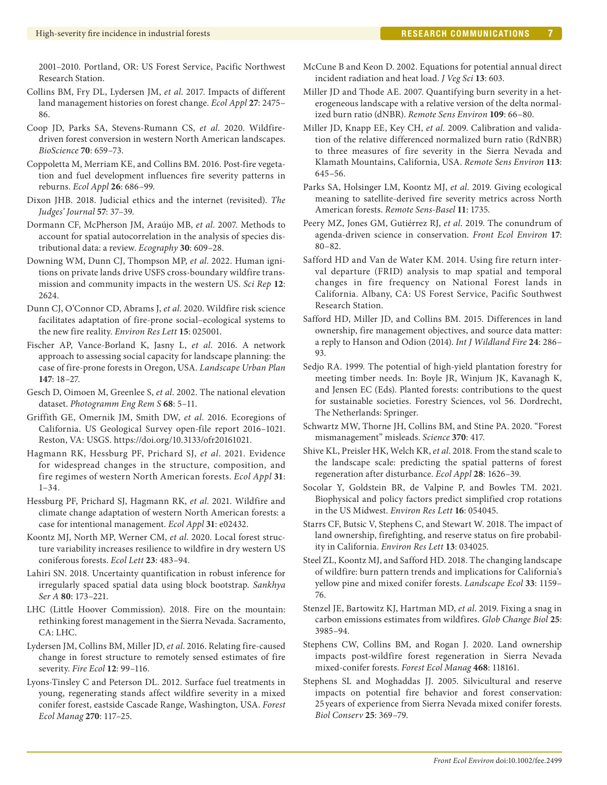2001–2010. Portland, OR: US Forest Service, Pacific Northwest Research Station.

- Collins BM, Fry DL, Lydersen JM, *et al*. 2017. Impacts of different land management histories on forest change. *Ecol Appl* **27**: 2475– 86.
- Coop JD, Parks SA, Stevens-Rumann CS, *et al*. 2020. Wildfiredriven forest conversion in western North American landscapes. *BioScience* **70**: 659–73.
- Coppoletta M, Merriam KE, and Collins BM. 2016. Post-fire vegetation and fuel development influences fire severity patterns in reburns. *Ecol Appl* **26**: 686–99.
- Dixon JHB. 2018. Judicial ethics and the internet (revisited). *The Judges' Journal* **57**: 37–39.
- Dormann CF, McPherson JM, Araújo MB, *et al*. 2007. Methods to account for spatial autocorrelation in the analysis of species distributional data: a review. *Ecography* **30**: 609–28.
- Downing WM, Dunn CJ, Thompson MP, *et al*. 2022. Human ignitions on private lands drive USFS cross-boundary wildfire transmission and community impacts in the western US. *Sci Rep* **12**: 2624.
- Dunn CJ, O'Connor CD, Abrams J, *et al*. 2020. Wildfire risk science facilitates adaptation of fire-prone social–ecological systems to the new fire reality. *Environ Res Lett* **15**: 025001.
- Fischer AP, Vance-Borland K, Jasny L, *et al*. 2016. A network approach to assessing social capacity for landscape planning: the case of fire-prone forests in Oregon, USA. *Landscape Urban Plan* **147**: 18–27.
- Gesch D, Oimoen M, Greenlee S, *et al*. 2002. The national elevation dataset. *Photogramm Eng Rem S* **68**: 5–11.
- Griffith GE, Omernik JM, Smith DW, *et al*. 2016. Ecoregions of California. US Geological Survey open-file report 2016–1021. Reston, VA: USGS. <https://doi.org/10.3133/ofr20161021>.
- Hagmann RK, Hessburg PF, Prichard SJ, *et al*. 2021. Evidence for widespread changes in the structure, composition, and fire regimes of western North American forests. *Ecol Appl* **31**:  $1 - 34.$
- Hessburg PF, Prichard SJ, Hagmann RK, *et al*. 2021. Wildfire and climate change adaptation of western North American forests: a case for intentional management. *Ecol Appl* **31**: e02432.
- Koontz MJ, North MP, Werner CM, *et al*. 2020. Local forest structure variability increases resilience to wildfire in dry western US coniferous forests. *Ecol Lett* **23**: 483–94.
- Lahiri SN. 2018. Uncertainty quantification in robust inference for irregularly spaced spatial data using block bootstrap. *Sankhya Ser A* **80**: 173–221.
- LHC (Little Hoover Commission). 2018. Fire on the mountain: rethinking forest management in the Sierra Nevada. Sacramento, CA: LHC.
- Lydersen JM, Collins BM, Miller JD, *et al*. 2016. Relating fire-caused change in forest structure to remotely sensed estimates of fire severity. *Fire Ecol* **12**: 99–116.
- Lyons-Tinsley C and Peterson DL. 2012. Surface fuel treatments in young, regenerating stands affect wildfire severity in a mixed conifer forest, eastside Cascade Range, Washington, USA. *Forest Ecol Manag* **270**: 117–25.
- McCune B and Keon D. 2002. Equations for potential annual direct incident radiation and heat load. *J Veg Sci* **13**: 603.
- Miller JD and Thode AE. 2007. Quantifying burn severity in a heterogeneous landscape with a relative version of the delta normalized burn ratio (dNBR). *Remote Sens Environ* **109**: 66–80.
- Miller JD, Knapp EE, Key CH, *et al*. 2009. Calibration and validation of the relative differenced normalized burn ratio (RdNBR) to three measures of fire severity in the Sierra Nevada and Klamath Mountains, California, USA. *Remote Sens Environ* **113**: 645–56.
- Parks SA, Holsinger LM, Koontz MJ, *et al*. 2019. Giving ecological meaning to satellite-derived fire severity metrics across North American forests. *Remote Sens-Basel* **11**: 1735.
- Peery MZ, Jones GM, Gutiérrez RJ, *et al*. 2019. The conundrum of agenda-driven science in conservation. *Front Ecol Environ* **17**: 80–82.
- Safford HD and Van de Water KM. 2014. Using fire return interval departure (FRID) analysis to map spatial and temporal changes in fire frequency on National Forest lands in California. Albany, CA: US Forest Service, Pacific Southwest Research Station.
- Safford HD, Miller JD, and Collins BM. 2015. Differences in land ownership, fire management objectives, and source data matter: a reply to Hanson and Odion (2014). *Int J Wildland Fire* **24**: 286– 93.
- Sedjo RA. 1999. The potential of high-yield plantation forestry for meeting timber needs. In: Boyle JR, Winjum JK, Kavanagh K, and Jensen EC (Eds). Planted forests: contributions to the quest for sustainable societies. Forestry Sciences, vol 56. Dordrecht, The Netherlands: Springer.
- Schwartz MW, Thorne JH, Collins BM, and Stine PA. 2020. "Forest mismanagement" misleads. *Science* **370**: 417.
- Shive KL, Preisler HK, Welch KR, *et al*. 2018. From the stand scale to the landscape scale: predicting the spatial patterns of forest regeneration after disturbance. *Ecol Appl* **28**: 1626–39.
- Socolar Y, Goldstein BR, de Valpine P, and Bowles TM. 2021. Biophysical and policy factors predict simplified crop rotations in the US Midwest. *Environ Res Lett* **16**: 054045.
- Starrs CF, Butsic V, Stephens C, and Stewart W. 2018. The impact of land ownership, firefighting, and reserve status on fire probability in California. *Environ Res Lett* **13**: 034025.
- Steel ZL, Koontz MJ, and Safford HD. 2018. The changing landscape of wildfire: burn pattern trends and implications for California's yellow pine and mixed conifer forests. *Landscape Ecol* **33**: 1159– 76.
- Stenzel JE, Bartowitz KJ, Hartman MD, *et al*. 2019. Fixing a snag in carbon emissions estimates from wildfires. *Glob Change Biol* **25**: 3985–94.
- Stephens CW, Collins BM, and Rogan J. 2020. Land ownership impacts post-wildfire forest regeneration in Sierra Nevada mixed-conifer forests. *Forest Ecol Manag* **468**: 118161.
- Stephens SL and Moghaddas JJ. 2005. Silvicultural and reserve impacts on potential fire behavior and forest conservation: 25 years of experience from Sierra Nevada mixed conifer forests. *Biol Conserv* **25**: 369–79.